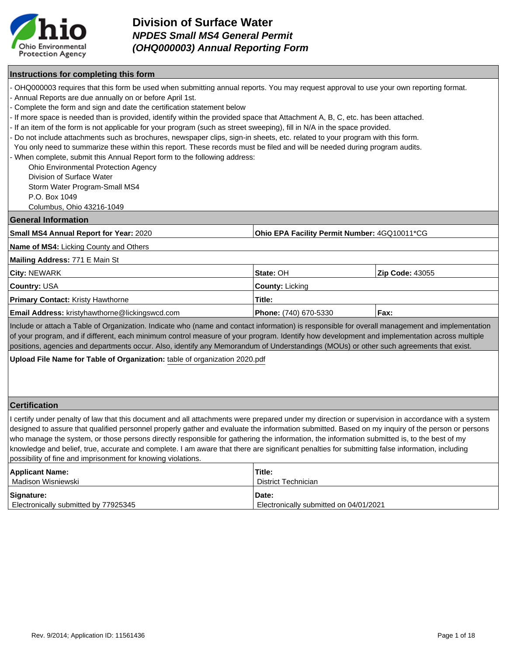

### **Instructions for completing this form**

- OHQ000003 requires that this form be used when submitting annual reports. You may request approval to use your own reporting format.
- Annual Reports are due annually on or before April 1st.

- Complete the form and sign and date the certification statement below

- If more space is needed than is provided, identify within the provided space that Attachment A, B, C, etc. has been attached.
- If an item of the form is not applicable for your program (such as street sweeping), fill in N/A in the space provided.
- Do not include attachments such as brochures, newspaper clips, sign-in sheets, etc. related to your program with this form.
- You only need to summarize these within this report. These records must be filed and will be needed during program audits.

When complete, submit this Annual Report form to the following address:

Ohio Environmental Protection Agency

Division of Surface Water

Storm Water Program-Small MS4

P.O. Box 1049

Columbus, Ohio 43216-1049

#### **General Information**

| Small MS4 Annual Report for Year: 2020 | <b>Ohio EPA Facility Permit Number: 4GQ10011*CG</b> |
|----------------------------------------|-----------------------------------------------------|
|                                        |                                                     |

**Name of MS4:** Licking County and Others

#### **Mailing Address:** 771 E Main St

| <b>City: NEWARK</b>                                   | I <b>State:</b> OH           | <b>Zip Code: 43055</b> |
|-------------------------------------------------------|------------------------------|------------------------|
| <b>Country: USA</b>                                   | <b>County:</b> Licking       |                        |
| <b>Primary Contact: Kristy Hawthorne</b>              | Title:                       |                        |
| <b>Email Address:</b> kristyhawthorne@lickingswcd.com | <b>Phone:</b> (740) 670-5330 | Fax:                   |

Include or attach a Table of Organization. Indicate who (name and contact information) is responsible for overall management and implementation of your program, and if different, each minimum control measure of your program. Identify how development and implementation across multiple positions, agencies and departments occur. Also, identify any Memorandum of Understandings (MOUs) or other such agreements that exist.

**Upload File Name for Table of Organization:** table of organization 2020.pdf

### **Certification**

I certify under penalty of law that this document and all attachments were prepared under my direction or supervision in accordance with a system designed to assure that qualified personnel properly gather and evaluate the information submitted. Based on my inquiry of the person or persons who manage the system, or those persons directly responsible for gathering the information, the information submitted is, to the best of my knowledge and belief, true, accurate and complete. I am aware that there are significant penalties for submitting false information, including possibility of fine and imprisonment for knowing violations.

| <b>Applicant Name:</b>               | Title:                                 |
|--------------------------------------|----------------------------------------|
| Madison Wisniewski                   | District Technician                    |
| Signature:                           | Date:                                  |
| Electronically submitted by 77925345 | Electronically submitted on 04/01/2021 |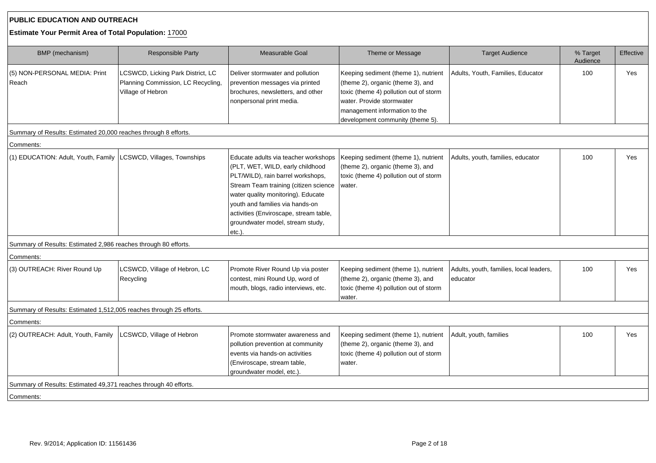## **PUBLIC EDUCATION AND OUTREACH**

## **Estimate Your Permit Area of Total Population:** 17000

| BMP (mechanism)                                                     | <b>Responsible Party</b>                                                                     | Measurable Goal                                                                                                                                                                                                                                                                                                            | Theme or Message<br><b>Target Audience</b>                                                                                                                                                                            |                                                     | % Target<br>Audience | Effective |
|---------------------------------------------------------------------|----------------------------------------------------------------------------------------------|----------------------------------------------------------------------------------------------------------------------------------------------------------------------------------------------------------------------------------------------------------------------------------------------------------------------------|-----------------------------------------------------------------------------------------------------------------------------------------------------------------------------------------------------------------------|-----------------------------------------------------|----------------------|-----------|
| (5) NON-PERSONAL MEDIA: Print<br>Reach                              | LCSWCD, Licking Park District, LC<br>Planning Commission, LC Recycling,<br>Village of Hebron | Deliver stormwater and pollution<br>prevention messages via printed<br>brochures, newsletters, and other<br>nonpersonal print media.                                                                                                                                                                                       | Keeping sediment (theme 1), nutrient<br>(theme 2), organic (theme 3), and<br>toxic (theme 4) pollution out of storm<br>water. Provide stormwater<br>management information to the<br>development community (theme 5). | Adults, Youth, Families, Educator                   | 100                  | Yes       |
| Summary of Results: Estimated 20,000 reaches through 8 efforts.     |                                                                                              |                                                                                                                                                                                                                                                                                                                            |                                                                                                                                                                                                                       |                                                     |                      |           |
| Comments:                                                           |                                                                                              |                                                                                                                                                                                                                                                                                                                            |                                                                                                                                                                                                                       |                                                     |                      |           |
| (1) EDUCATION: Adult, Youth, Family                                 | LCSWCD, Villages, Townships                                                                  | Educate adults via teacher workshops<br>(PLT, WET, WILD, early childhood<br>PLT/WILD), rain barrel workshops,<br>Stream Team training (citizen science<br>water quality monitoring). Educate<br>vouth and families via hands-on<br>activities (Enviroscape, stream table,<br>groundwater model, stream study,<br>$etc.$ ). | Keeping sediment (theme 1), nutrient<br>(theme 2), organic (theme 3), and<br>toxic (theme 4) pollution out of storm<br>water.                                                                                         | Adults, youth, families, educator                   | 100                  | Yes       |
| Summary of Results: Estimated 2,986 reaches through 80 efforts.     |                                                                                              |                                                                                                                                                                                                                                                                                                                            |                                                                                                                                                                                                                       |                                                     |                      |           |
| Comments:                                                           |                                                                                              |                                                                                                                                                                                                                                                                                                                            |                                                                                                                                                                                                                       |                                                     |                      |           |
| (3) OUTREACH: River Round Up                                        | LCSWCD, Village of Hebron, LC<br>Recycling                                                   | Promote River Round Up via poster<br>contest, mini Round Up, word of<br>mouth, blogs, radio interviews, etc.                                                                                                                                                                                                               | Keeping sediment (theme 1), nutrient<br>(theme 2), organic (theme 3), and<br>toxic (theme 4) pollution out of storm<br>water.                                                                                         | Adults, youth, families, local leaders,<br>educator | 100                  | Yes       |
| Summary of Results: Estimated 1,512,005 reaches through 25 efforts. |                                                                                              |                                                                                                                                                                                                                                                                                                                            |                                                                                                                                                                                                                       |                                                     |                      |           |
| Comments:                                                           |                                                                                              |                                                                                                                                                                                                                                                                                                                            |                                                                                                                                                                                                                       |                                                     |                      |           |
| (2) OUTREACH: Adult, Youth, Family                                  | LCSWCD, Village of Hebron                                                                    | Promote stormwater awareness and<br>pollution prevention at community<br>events via hands-on activities<br>(Enviroscape, stream table,<br>groundwater model, etc.).                                                                                                                                                        | Keeping sediment (theme 1), nutrient<br>(theme 2), organic (theme 3), and<br>toxic (theme 4) pollution out of storm<br>water.                                                                                         | Adult, youth, families                              | 100                  | Yes       |
| Summary of Results: Estimated 49,371 reaches through 40 efforts.    |                                                                                              |                                                                                                                                                                                                                                                                                                                            |                                                                                                                                                                                                                       |                                                     |                      |           |
| Comments:                                                           |                                                                                              |                                                                                                                                                                                                                                                                                                                            |                                                                                                                                                                                                                       |                                                     |                      |           |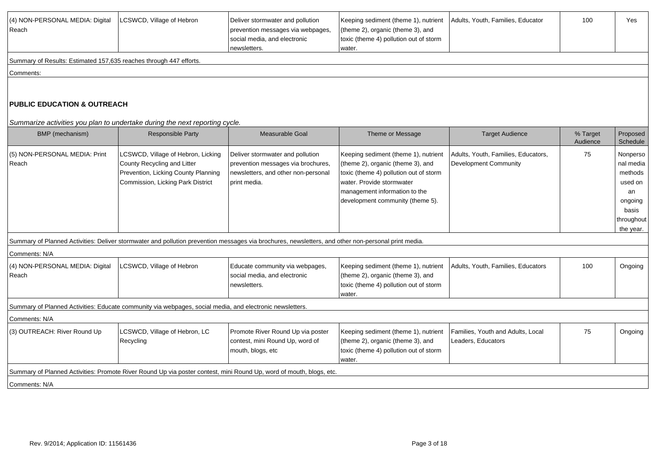| (4) NON-PERSONAL MEDIA: Digital<br>Reach                           | LCSWCD, Village of Hebron                                                                                                                           | Deliver stormwater and pollution<br>prevention messages via webpages,<br>social media, and electronic<br>newsletters.         | Keeping sediment (theme 1), nutrient<br>(theme 2), organic (theme 3), and<br>toxic (theme 4) pollution out of storm<br>water.                                                                                         | Adults, Youth, Families, Educator                                   | 100                  | Yes                                                                                              |
|--------------------------------------------------------------------|-----------------------------------------------------------------------------------------------------------------------------------------------------|-------------------------------------------------------------------------------------------------------------------------------|-----------------------------------------------------------------------------------------------------------------------------------------------------------------------------------------------------------------------|---------------------------------------------------------------------|----------------------|--------------------------------------------------------------------------------------------------|
| Summary of Results: Estimated 157,635 reaches through 447 efforts. |                                                                                                                                                     |                                                                                                                               |                                                                                                                                                                                                                       |                                                                     |                      |                                                                                                  |
| Comments:                                                          |                                                                                                                                                     |                                                                                                                               |                                                                                                                                                                                                                       |                                                                     |                      |                                                                                                  |
| PUBLIC EDUCATION & OUTREACH                                        |                                                                                                                                                     |                                                                                                                               |                                                                                                                                                                                                                       |                                                                     |                      |                                                                                                  |
| BMP (mechanism)                                                    | Summarize activities you plan to undertake during the next reporting cycle.<br><b>Responsible Party</b>                                             | Measurable Goal                                                                                                               | Theme or Message                                                                                                                                                                                                      | <b>Target Audience</b>                                              | % Target<br>Audience | Proposed<br>Schedule                                                                             |
| (5) NON-PERSONAL MEDIA: Print<br>Reach                             | LCSWCD, Village of Hebron, Licking<br>County Recycling and Litter<br>Prevention, Licking County Planning<br>Commission, Licking Park District       | Deliver stormwater and pollution<br>prevention messages via brochures,<br>newsletters, and other non-personal<br>print media. | Keeping sediment (theme 1), nutrient<br>(theme 2), organic (theme 3), and<br>toxic (theme 4) pollution out of storm<br>water. Provide stormwater<br>management information to the<br>development community (theme 5). | Adults, Youth, Families, Educators,<br><b>Development Community</b> | 75                   | Nonperso<br>nal media<br>methods<br>used on<br>an<br>ongoing<br>basis<br>throughout<br>the year. |
|                                                                    | Summary of Planned Activities: Deliver stormwater and pollution prevention messages via brochures, newsletters, and other non-personal print media. |                                                                                                                               |                                                                                                                                                                                                                       |                                                                     |                      |                                                                                                  |
| Comments: N/A                                                      |                                                                                                                                                     |                                                                                                                               |                                                                                                                                                                                                                       |                                                                     |                      |                                                                                                  |
| (4) NON-PERSONAL MEDIA: Digital<br>Reach                           | LCSWCD, Village of Hebron                                                                                                                           | Educate community via webpages,<br>social media, and electronic<br>newsletters.                                               | Keeping sediment (theme 1), nutrient<br>(theme 2), organic (theme 3), and<br>toxic (theme 4) pollution out of storm<br>water.                                                                                         | Adults, Youth, Families, Educators                                  | 100                  | Ongoing                                                                                          |
|                                                                    | Summary of Planned Activities: Educate community via webpages, social media, and electronic newsletters.                                            |                                                                                                                               |                                                                                                                                                                                                                       |                                                                     |                      |                                                                                                  |
| Comments: N/A                                                      |                                                                                                                                                     |                                                                                                                               |                                                                                                                                                                                                                       |                                                                     |                      |                                                                                                  |
| (3) OUTREACH: River Round Up                                       | LCSWCD, Village of Hebron, LC<br>Recycling                                                                                                          | Promote River Round Up via poster<br>contest, mini Round Up, word of<br>mouth, blogs, etc                                     | Keeping sediment (theme 1), nutrient<br>(theme 2), organic (theme 3), and<br>toxic (theme 4) pollution out of storm<br>water.                                                                                         | Families, Youth and Adults, Local<br>Leaders, Educators             | 75                   | Ongoing                                                                                          |
|                                                                    | Summary of Planned Activities: Promote River Round Up via poster contest, mini Round Up, word of mouth, blogs, etc.                                 |                                                                                                                               |                                                                                                                                                                                                                       |                                                                     |                      |                                                                                                  |
| Comments: N/A                                                      |                                                                                                                                                     |                                                                                                                               |                                                                                                                                                                                                                       |                                                                     |                      |                                                                                                  |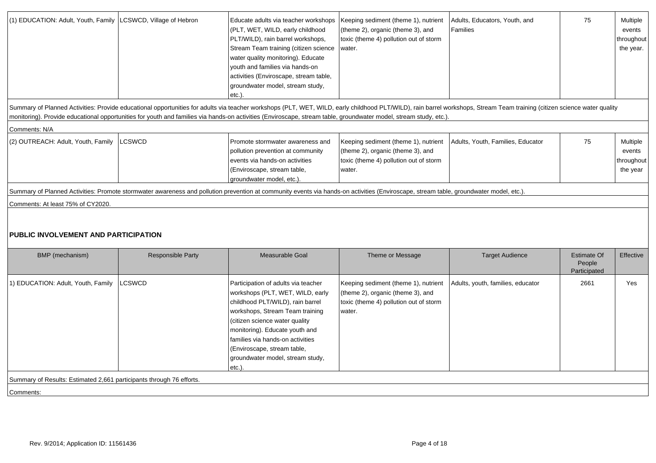| (1) EDUCATION: Adult, Youth, Family LCSWCD, Village of Hebron        |                   | Educate adults via teacher workshops<br>(PLT, WET, WILD, early childhood<br>PLT/WILD), rain barrel workshops,<br>Stream Team training (citizen science<br>water quality monitoring). Educate<br>youth and families via hands-on<br>activities (Enviroscape, stream table,<br>groundwater model, stream study,<br>$etc.$ )           | Keeping sediment (theme 1), nutrient<br>(theme 2), organic (theme 3), and<br>toxic (theme 4) pollution out of storm<br>water.                                                                                                                                                                                                                                                                 | Adults, Educators, Youth, and<br>Families | 75                           | Multiple<br>events<br>throughout<br>the year. |
|----------------------------------------------------------------------|-------------------|-------------------------------------------------------------------------------------------------------------------------------------------------------------------------------------------------------------------------------------------------------------------------------------------------------------------------------------|-----------------------------------------------------------------------------------------------------------------------------------------------------------------------------------------------------------------------------------------------------------------------------------------------------------------------------------------------------------------------------------------------|-------------------------------------------|------------------------------|-----------------------------------------------|
|                                                                      |                   |                                                                                                                                                                                                                                                                                                                                     | Summary of Planned Activities: Provide educational opportunities for adults via teacher workshops (PLT, WET, WILD, early childhood PLT/WILD), rain barrel workshops, Stream Team training (citizen science water quality<br>monitoring). Provide educational opportunities for youth and families via hands-on activities (Enviroscape, stream table, groundwater model, stream study, etc.). |                                           |                              |                                               |
|                                                                      |                   |                                                                                                                                                                                                                                                                                                                                     |                                                                                                                                                                                                                                                                                                                                                                                               |                                           |                              |                                               |
| Comments: N/A<br>(2) OUTREACH: Adult, Youth, Family                  | LCSWCD            | Promote stormwater awareness and<br>pollution prevention at community<br>events via hands-on activities<br>(Enviroscape, stream table,<br>groundwater model, etc.).                                                                                                                                                                 | Keeping sediment (theme 1), nutrient<br>(theme 2), organic (theme 3), and<br>toxic (theme 4) pollution out of storm<br>water.                                                                                                                                                                                                                                                                 | Adults, Youth, Families, Educator         | 75                           | Multiple<br>events<br>throughout<br>the year  |
|                                                                      |                   |                                                                                                                                                                                                                                                                                                                                     | Summary of Planned Activities: Promote stormwater awareness and pollution prevention at community events via hands-on activities (Enviroscape, stream table, groundwater model, etc.).                                                                                                                                                                                                        |                                           |                              |                                               |
| Comments: At least 75% of CY2020.                                    |                   |                                                                                                                                                                                                                                                                                                                                     |                                                                                                                                                                                                                                                                                                                                                                                               |                                           |                              |                                               |
| <b>PUBLIC INVOLVEMENT AND PARTICIPATION</b>                          |                   |                                                                                                                                                                                                                                                                                                                                     |                                                                                                                                                                                                                                                                                                                                                                                               |                                           |                              |                                               |
| BMP (mechanism)                                                      | Responsible Party | Measurable Goal                                                                                                                                                                                                                                                                                                                     | Theme or Message                                                                                                                                                                                                                                                                                                                                                                              | <b>Target Audience</b>                    | <b>Estimate Of</b><br>People | Effective                                     |
| 1) EDUCATION: Adult, Youth, Family                                   |                   |                                                                                                                                                                                                                                                                                                                                     |                                                                                                                                                                                                                                                                                                                                                                                               |                                           | Participated                 |                                               |
|                                                                      | _CSWCD            | Participation of adults via teacher<br>workshops (PLT, WET, WILD, early<br>childhood PLT/WILD), rain barrel<br>workshops, Stream Team training<br>(citizen science water quality<br>monitoring). Educate youth and<br>families via hands-on activities<br>(Enviroscape, stream table,<br>groundwater model, stream study,<br>etc.). | Keeping sediment (theme 1), nutrient<br>(theme 2), organic (theme 3), and<br>toxic (theme 4) pollution out of storm<br>water.                                                                                                                                                                                                                                                                 | Adults, youth, families, educator         | 2661                         | Yes                                           |
| Summary of Results: Estimated 2,661 participants through 76 efforts. |                   |                                                                                                                                                                                                                                                                                                                                     |                                                                                                                                                                                                                                                                                                                                                                                               |                                           |                              |                                               |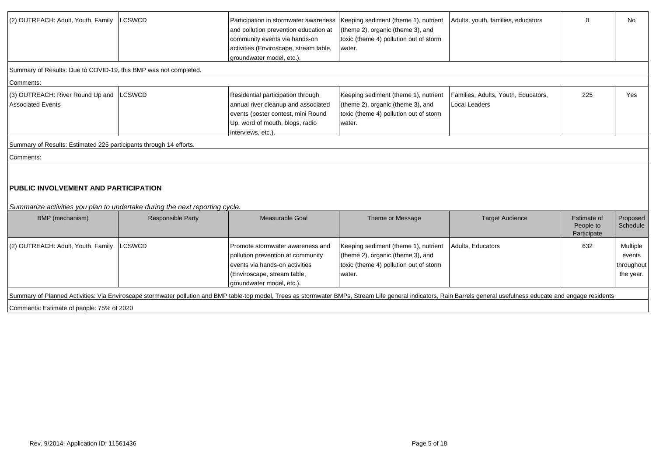| (2) OUTREACH: Adult, Youth, Family                                                                                         | <b>LCSWCD</b>            | Participation in stormwater awareness   Keeping sediment (theme 1), nutrient<br>and pollution prevention education at<br>community events via hands-on<br>activities (Enviroscape, stream table,<br>groundwater model, etc.). | (theme 2), organic (theme 3), and<br>toxic (theme 4) pollution out of storm<br>water.                                         | Adults, youth, families, educators                   | $\mathbf 0$                             | No                                            |
|----------------------------------------------------------------------------------------------------------------------------|--------------------------|-------------------------------------------------------------------------------------------------------------------------------------------------------------------------------------------------------------------------------|-------------------------------------------------------------------------------------------------------------------------------|------------------------------------------------------|-----------------------------------------|-----------------------------------------------|
| Summary of Results: Due to COVID-19, this BMP was not completed.                                                           |                          |                                                                                                                                                                                                                               |                                                                                                                               |                                                      |                                         |                                               |
| Comments:                                                                                                                  |                          |                                                                                                                                                                                                                               |                                                                                                                               |                                                      |                                         |                                               |
| (3) OUTREACH: River Round Up and<br><b>Associated Events</b>                                                               | LCSWCD                   | Residential participation through<br>annual river cleanup and associated<br>events (poster contest, mini Round<br>Up, word of mouth, blogs, radio<br>interviews, etc.).                                                       | Keeping sediment (theme 1), nutrient<br>(theme 2), organic (theme 3), and<br>toxic (theme 4) pollution out of storm<br>water. | Families, Adults, Youth, Educators,<br>Local Leaders | 225                                     | Yes                                           |
| Summary of Results: Estimated 225 participants through 14 efforts.                                                         |                          |                                                                                                                                                                                                                               |                                                                                                                               |                                                      |                                         |                                               |
| Comments:                                                                                                                  |                          |                                                                                                                                                                                                                               |                                                                                                                               |                                                      |                                         |                                               |
| <b>PUBLIC INVOLVEMENT AND PARTICIPATION</b><br>Summarize activities you plan to undertake during the next reporting cycle. |                          |                                                                                                                                                                                                                               |                                                                                                                               |                                                      |                                         |                                               |
| BMP (mechanism)                                                                                                            | <b>Responsible Party</b> | Measurable Goal                                                                                                                                                                                                               | Theme or Message                                                                                                              | <b>Target Audience</b>                               | Estimate of<br>People to<br>Participate | Proposed<br>Schedule                          |
| (2) OUTREACH: Adult, Youth, Family                                                                                         | LCSWCD                   | Promote stormwater awareness and<br>pollution prevention at community<br>events via hands-on activities<br>(Enviroscape, stream table,<br>groundwater model, etc.)                                                            | Keeping sediment (theme 1), nutrient<br>(theme 2), organic (theme 3), and<br>toxic (theme 4) pollution out of storm<br>water. | Adults, Educators                                    | 632                                     | Multiple<br>events<br>throughout<br>the year. |
| Comments: Estimate of people: 75% of 2020                                                                                  |                          | Summary of Planned Activities: Via Enviroscape stormwater pollution and BMP table-top model, Trees as stormwater BMPs, Stream Life general indicators, Rain Barrels general usefulness educate and engage residents           |                                                                                                                               |                                                      |                                         |                                               |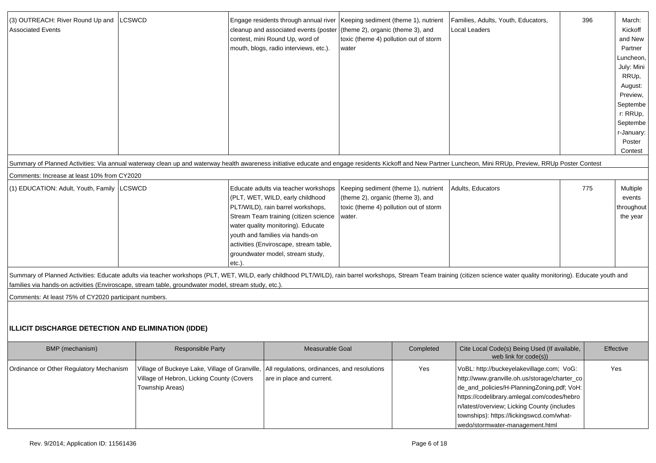| (3) OUTREACH: River Round Up and<br><b>Associated Events</b>                                         | LCSWCD                                                                                                                                   |           | Engage residents through annual river   Keeping sediment (theme 1), nutrient<br>cleanup and associated events (poster<br>contest, mini Round Up, word of<br>mouth, blogs, radio interviews, etc.).                                                                                                            | (theme 2), organic (theme 3), and<br>water  | toxic (theme 4) pollution out of storm                                         | Families, Adults, Youth, Educators,<br>Local Leaders<br>Summary of Planned Activities: Via annual waterway clean up and waterway health awareness initiative educate and engage residents Kickoff and New Partner Luncheon, Mini RRUp, Preview, RRUp Poster Contest | 396 | March:<br>Kickoff<br>and New<br>Partner<br>Luncheon,  <br>July: Mini<br>RRUp,<br>August:<br>Preview,<br>Septembe<br>r: RRUp,<br>Septembe<br>r-January:<br>Poster<br>Contest |
|------------------------------------------------------------------------------------------------------|------------------------------------------------------------------------------------------------------------------------------------------|-----------|---------------------------------------------------------------------------------------------------------------------------------------------------------------------------------------------------------------------------------------------------------------------------------------------------------------|---------------------------------------------|--------------------------------------------------------------------------------|---------------------------------------------------------------------------------------------------------------------------------------------------------------------------------------------------------------------------------------------------------------------|-----|-----------------------------------------------------------------------------------------------------------------------------------------------------------------------------|
| Comments: Increase at least 10% from CY2020                                                          |                                                                                                                                          |           |                                                                                                                                                                                                                                                                                                               |                                             |                                                                                |                                                                                                                                                                                                                                                                     |     |                                                                                                                                                                             |
| (1) EDUCATION: Adult, Youth, Family                                                                  | <b>LCSWCD</b>                                                                                                                            | $etc.$ ). | Educate adults via teacher workshops<br>(PLT, WET, WILD, early childhood<br>PLT/WILD), rain barrel workshops,<br>Stream Team training (citizen science<br>water quality monitoring). Educate<br>youth and families via hands-on<br>activities (Enviroscape, stream table,<br>groundwater model, stream study, | (theme 2), organic (theme 3), and<br>water. | Keeping sediment (theme 1), nutrient<br>toxic (theme 4) pollution out of storm | Adults, Educators                                                                                                                                                                                                                                                   | 775 | Multiple<br>events<br>throughout<br>the year                                                                                                                                |
| families via hands-on activities (Enviroscape, stream table, groundwater model, stream study, etc.). |                                                                                                                                          |           |                                                                                                                                                                                                                                                                                                               |                                             |                                                                                | Summary of Planned Activities: Educate adults via teacher workshops (PLT, WET, WILD, early childhood PLT/WILD), rain barrel workshops, Stream Team training (citizen science water quality monitoring). Educate youth and                                           |     |                                                                                                                                                                             |
| Comments: At least 75% of CY2020 participant numbers.                                                |                                                                                                                                          |           |                                                                                                                                                                                                                                                                                                               |                                             |                                                                                |                                                                                                                                                                                                                                                                     |     |                                                                                                                                                                             |
| ILLICIT DISCHARGE DETECTION AND ELIMINATION (IDDE)<br>BMP (mechanism)                                | <b>Responsible Party</b>                                                                                                                 |           | Measurable Goal                                                                                                                                                                                                                                                                                               |                                             | Completed                                                                      | Cite Local Code(s) Being Used (If available,<br>web link for code(s))                                                                                                                                                                                               |     | Effective                                                                                                                                                                   |
| Ordinance or Other Regulatory Mechanism                                                              | Village of Buckeye Lake, Village of Granville, All regulations, ordinances, and resolutions<br>Village of Hebron, Licking County (Covers |           | are in place and current.                                                                                                                                                                                                                                                                                     |                                             | Yes                                                                            | VoBL: http://buckeyelakevillage.com; VoG:<br>http://www.granville.oh.us/storage/charter_co                                                                                                                                                                          |     | Yes                                                                                                                                                                         |

| BMP (mechanism)                         | <b>Responsible Party</b>                                                                                                                                    | Measurable Goal           | Completed | Cite Local Code(s) Being Used (If available,<br>web link for $code(s)$                                                                                                                                                                                                                                                 | Effective |
|-----------------------------------------|-------------------------------------------------------------------------------------------------------------------------------------------------------------|---------------------------|-----------|------------------------------------------------------------------------------------------------------------------------------------------------------------------------------------------------------------------------------------------------------------------------------------------------------------------------|-----------|
| Ordinance or Other Regulatory Mechanism | Village of Buckeye Lake, Village of Granville, All regulations, ordinances, and resolutions<br>Village of Hebron, Licking County (Covers<br>Township Areas) | are in place and current. | Yes       | VoBL: http://buckeyelakevillage.com; VoG:<br>http://www.granville.oh.us/storage/charter_co<br>de_and_policies/H-PlanningZoning.pdf; VoH:<br>https://codelibrary.amlegal.com/codes/hebro<br>n/latest/overview; Licking County (includes<br>townships): https://lickingswcd.com/what-<br>wedo/stormwater-management.html | Yes       |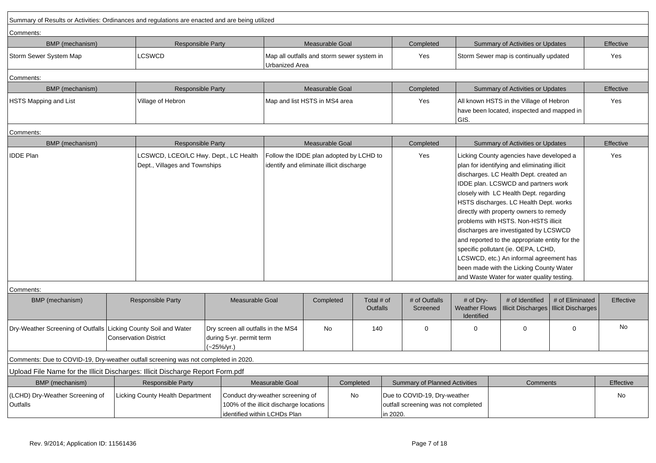| Summary of Results or Activities: Ordinances and regulations are enacted and are being utilized |                                                                        |                                                                              |                                                                                                             |                                                                                     |                               |                                                                     |                                                 |                                                                                                                                                                                                                                                                                                                                                                                                                                                                                                                                                                                                                        |                                              |           |
|-------------------------------------------------------------------------------------------------|------------------------------------------------------------------------|------------------------------------------------------------------------------|-------------------------------------------------------------------------------------------------------------|-------------------------------------------------------------------------------------|-------------------------------|---------------------------------------------------------------------|-------------------------------------------------|------------------------------------------------------------------------------------------------------------------------------------------------------------------------------------------------------------------------------------------------------------------------------------------------------------------------------------------------------------------------------------------------------------------------------------------------------------------------------------------------------------------------------------------------------------------------------------------------------------------------|----------------------------------------------|-----------|
| Comments:                                                                                       |                                                                        |                                                                              |                                                                                                             |                                                                                     |                               |                                                                     |                                                 |                                                                                                                                                                                                                                                                                                                                                                                                                                                                                                                                                                                                                        |                                              |           |
| BMP (mechanism)                                                                                 | <b>Responsible Party</b>                                               |                                                                              |                                                                                                             | Measurable Goal                                                                     |                               | Completed                                                           |                                                 | Summary of Activities or Updates                                                                                                                                                                                                                                                                                                                                                                                                                                                                                                                                                                                       |                                              | Effective |
| Storm Sewer System Map                                                                          | LCSWCD                                                                 |                                                                              | Map all outfalls and storm sewer system in<br><b>Urbanized Area</b>                                         |                                                                                     |                               | Yes                                                                 |                                                 | Storm Sewer map is continually updated                                                                                                                                                                                                                                                                                                                                                                                                                                                                                                                                                                                 |                                              | Yes       |
| Comments:                                                                                       |                                                                        |                                                                              |                                                                                                             |                                                                                     |                               |                                                                     |                                                 |                                                                                                                                                                                                                                                                                                                                                                                                                                                                                                                                                                                                                        |                                              |           |
| BMP (mechanism)                                                                                 | <b>Responsible Party</b>                                               |                                                                              |                                                                                                             | Measurable Goal                                                                     |                               | Completed                                                           |                                                 | Summary of Activities or Updates                                                                                                                                                                                                                                                                                                                                                                                                                                                                                                                                                                                       |                                              | Effective |
| HSTS Mapping and List                                                                           | Village of Hebron                                                      |                                                                              |                                                                                                             | Map and list HSTS in MS4 area                                                       |                               | Yes                                                                 | GIS.                                            | All known HSTS in the Village of Hebron<br>have been located, inspected and mapped in                                                                                                                                                                                                                                                                                                                                                                                                                                                                                                                                  |                                              | Yes       |
| Comments:                                                                                       |                                                                        |                                                                              |                                                                                                             |                                                                                     |                               |                                                                     |                                                 |                                                                                                                                                                                                                                                                                                                                                                                                                                                                                                                                                                                                                        |                                              |           |
| <b>BMP</b> (mechanism)                                                                          | <b>Responsible Party</b>                                               |                                                                              |                                                                                                             | Measurable Goal                                                                     |                               | Completed                                                           |                                                 | Summary of Activities or Updates                                                                                                                                                                                                                                                                                                                                                                                                                                                                                                                                                                                       |                                              | Effective |
| <b>IDDE Plan</b>                                                                                | LCSWCD, LCEO/LC Hwy. Dept., LC Health<br>Dept., Villages and Townships |                                                                              |                                                                                                             | Follow the IDDE plan adopted by LCHD to<br>identify and eliminate illicit discharge |                               | Yes                                                                 |                                                 | Licking County agencies have developed a<br>plan for identifying and eliminating illicit<br>discharges. LC Health Dept. created an<br>IDDE plan. LCSWCD and partners work<br>closely with LC Health Dept. regarding<br>HSTS discharges. LC Health Dept. works<br>directly with property owners to remedy<br>problems with HSTS. Non-HSTS illicit<br>discharges are investigated by LCSWCD<br>and reported to the appropriate entity for the<br>specific pollutant (ie. OEPA, LCHD,<br>LCSWCD, etc.) An informal agreement has<br>been made with the Licking County Water<br>and Waste Water for water quality testing. |                                              | Yes       |
| Comments:                                                                                       |                                                                        |                                                                              |                                                                                                             |                                                                                     |                               |                                                                     |                                                 |                                                                                                                                                                                                                                                                                                                                                                                                                                                                                                                                                                                                                        |                                              |           |
| BMP (mechanism)                                                                                 | <b>Responsible Party</b>                                               | Measurable Goal                                                              |                                                                                                             | Completed                                                                           | Total # of<br><b>Outfalls</b> | # of Outfalls<br>Screened                                           | # of Dry-<br><b>Weather Flows</b><br>Identified | # of Identified<br><b>Illicit Discharges</b>                                                                                                                                                                                                                                                                                                                                                                                                                                                                                                                                                                           | # of Eliminated<br><b>Illicit Discharges</b> | Effective |
| Dry-Weather Screening of Outfalls Licking County Soil and Water                                 | <b>Conservation District</b>                                           | Dry screen all outfalls in the MS4<br>during 5-yr. permit term<br>(~25%/yr.) |                                                                                                             | No                                                                                  | 140                           | $\Omega$                                                            | $\Omega$                                        | $\mathbf 0$                                                                                                                                                                                                                                                                                                                                                                                                                                                                                                                                                                                                            | $\mathbf 0$                                  | <b>No</b> |
| Comments: Due to COVID-19, Dry-weather outfall screening was not completed in 2020.             |                                                                        |                                                                              |                                                                                                             |                                                                                     |                               |                                                                     |                                                 |                                                                                                                                                                                                                                                                                                                                                                                                                                                                                                                                                                                                                        |                                              |           |
| Upload File Name for the Illicit Discharges: Illicit Discharge Report Form.pdf                  |                                                                        |                                                                              |                                                                                                             |                                                                                     |                               |                                                                     |                                                 |                                                                                                                                                                                                                                                                                                                                                                                                                                                                                                                                                                                                                        |                                              |           |
| BMP (mechanism)                                                                                 | <b>Responsible Party</b>                                               |                                                                              | Measurable Goal                                                                                             |                                                                                     | Completed                     | <b>Summary of Planned Activities</b>                                |                                                 | Comments                                                                                                                                                                                                                                                                                                                                                                                                                                                                                                                                                                                                               |                                              | Effective |
| (LCHD) Dry-Weather Screening of<br>Outfalls                                                     | Licking County Health Department                                       |                                                                              | Conduct dry-weather screening of<br>100% of the illicit discharge locations<br>identified within LCHDs Plan |                                                                                     | No<br>in 2020.                | Due to COVID-19, Dry-weather<br>outfall screening was not completed |                                                 |                                                                                                                                                                                                                                                                                                                                                                                                                                                                                                                                                                                                                        |                                              | No        |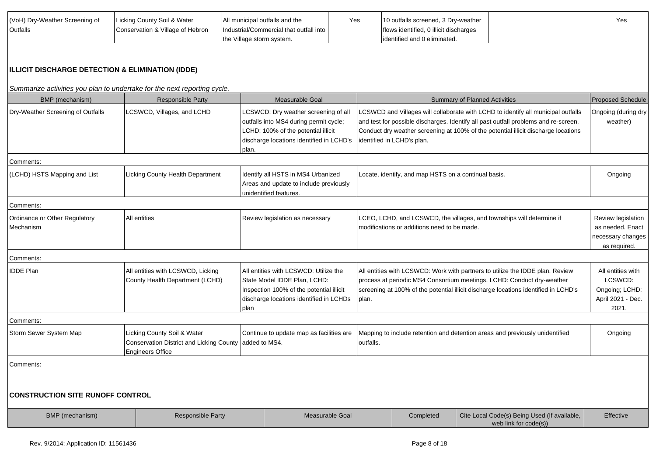| (VoH) Dry-Weather Screening of | Licking County Soil & Water      | All municipal outfalls and the          | Yes | 10 outfalls screened, 3 Dry-weather    | Yes |
|--------------------------------|----------------------------------|-----------------------------------------|-----|----------------------------------------|-----|
| <b>Outfalls</b>                | Conservation & Village of Hebron | Industrial/Commercial that outfall into |     | flows identified, 0 illicit discharges |     |
|                                |                                  | the Village storm system.               |     | lidentified and 0 eliminated.          |     |

# **ILLICIT DISCHARGE DETECTION & ELIMINATION (IDDE)**

Summarize activities you plan to undertake for the next reporting cycle.

| BMP (mechanism)                            | <b>Responsible Party</b>                                                                           | Measurable Goal                                                                                                                                                            |           |                                                      | <b>Summary of Planned Activities</b>                                                                                                                                                                                                                           | <b>Proposed Schedule</b>                                                     |
|--------------------------------------------|----------------------------------------------------------------------------------------------------|----------------------------------------------------------------------------------------------------------------------------------------------------------------------------|-----------|------------------------------------------------------|----------------------------------------------------------------------------------------------------------------------------------------------------------------------------------------------------------------------------------------------------------------|------------------------------------------------------------------------------|
| Dry-Weather Screening of Outfalls          | LCSWCD, Villages, and LCHD                                                                         | LCSWCD: Dry weather screening of all<br>outfalls into MS4 during permit cycle;<br>LCHD: 100% of the potential illicit<br>discharge locations identified in LCHD's<br>plan. |           | identified in LCHD's plan.                           | LCSWCD and Villages will collaborate with LCHD to identify all municipal outfalls<br>and test for possible discharges. Identify all past outfall problems and re-screen.<br>Conduct dry weather screening at 100% of the potential illicit discharge locations | Ongoing (during dry<br>weather)                                              |
| Comments:                                  |                                                                                                    |                                                                                                                                                                            |           |                                                      |                                                                                                                                                                                                                                                                |                                                                              |
| (LCHD) HSTS Mapping and List               | Licking County Health Department                                                                   | Identify all HSTS in MS4 Urbanized<br>Areas and update to include previously<br>unidentified features.                                                                     |           | Locate, identify, and map HSTS on a continual basis. |                                                                                                                                                                                                                                                                | Ongoing                                                                      |
| Comments:                                  |                                                                                                    |                                                                                                                                                                            |           |                                                      |                                                                                                                                                                                                                                                                |                                                                              |
| Ordinance or Other Regulatory<br>Mechanism | All entities                                                                                       | Review legislation as necessary                                                                                                                                            |           | modifications or additions need to be made.          | LCEO, LCHD, and LCSWCD, the villages, and townships will determine if                                                                                                                                                                                          | Review legislation<br>as needed. Enact<br>necessary changes<br>as required.  |
| Comments:                                  |                                                                                                    |                                                                                                                                                                            |           |                                                      |                                                                                                                                                                                                                                                                |                                                                              |
| <b>IDDE Plan</b>                           | All entities with LCSWCD, Licking<br>County Health Department (LCHD)                               | All entities with LCSWCD: Utilize the<br>State Model IDDE Plan, LCHD:<br>Inspection 100% of the potential illicit<br>discharge locations identified in LCHDs<br>plan       | plan.     |                                                      | All entities with LCSWCD: Work with partners to utilize the IDDE plan. Review<br>process at periodic MS4 Consortium meetings. LCHD: Conduct dry-weather<br>screening at 100% of the potential illicit discharge locations identified in LCHD's                 | All entities with<br>LCSWCD:<br>Ongoing; LCHD:<br>April 2021 - Dec.<br>2021. |
| Comments:                                  |                                                                                                    |                                                                                                                                                                            |           |                                                      |                                                                                                                                                                                                                                                                |                                                                              |
| Storm Sewer System Map                     | Licking County Soil & Water<br>Conservation District and Licking County<br><b>Engineers Office</b> | Continue to update map as facilities are<br>added to MS4.                                                                                                                  | outfalls. |                                                      | Mapping to include retention and detention areas and previously unidentified                                                                                                                                                                                   | Ongoing                                                                      |
| Comments:                                  |                                                                                                    |                                                                                                                                                                            |           |                                                      |                                                                                                                                                                                                                                                                |                                                                              |
| <b>CONSTRUCTION SITE RUNOFF CONTROL</b>    |                                                                                                    |                                                                                                                                                                            |           |                                                      |                                                                                                                                                                                                                                                                |                                                                              |
| BMP (mechanism)                            | Responsible Party                                                                                  | Measurable Goal                                                                                                                                                            |           | Completed                                            | Cite Local Code(s) Being Used (If available,<br>web link for code(s))                                                                                                                                                                                          | Effective                                                                    |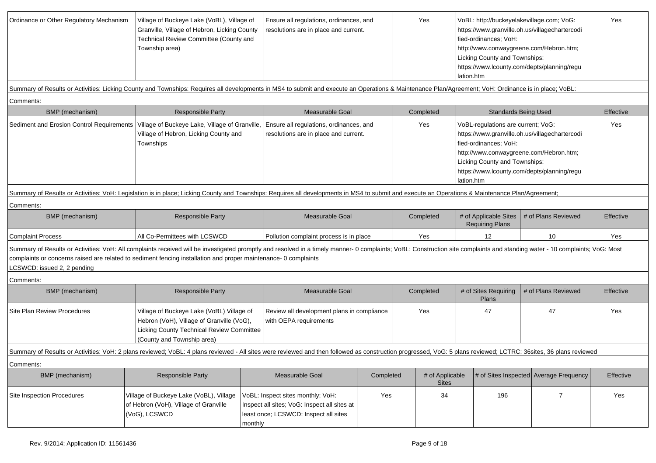| Ordinance or Other Regulatory Mechanism                                                                                                                                                                                                                                                                                                                                        | Village of Buckeye Lake (VoBL), Village of<br>Granville, Village of Hebron, Licking County<br>Technical Review Committee (County and<br>Township area) |                                                                                                                                                                             | Ensure all regulations, ordinances, and<br>resolutions are in place and current.                                           |                                                                             |           | Yes                                                                                                                                                                                                                                                    | fied-ordinances; VoH:<br>Licking County and Townships:<br>lation.htm |                     | VoBL: http://buckeyelakevillage.com; VoG:<br>https://www.granville.oh.us/villagechartercodi<br>http://www.conwaygreene.com/Hebron.htm;<br>https://www.lcounty.com/depts/planning/regu | Yes       |
|--------------------------------------------------------------------------------------------------------------------------------------------------------------------------------------------------------------------------------------------------------------------------------------------------------------------------------------------------------------------------------|--------------------------------------------------------------------------------------------------------------------------------------------------------|-----------------------------------------------------------------------------------------------------------------------------------------------------------------------------|----------------------------------------------------------------------------------------------------------------------------|-----------------------------------------------------------------------------|-----------|--------------------------------------------------------------------------------------------------------------------------------------------------------------------------------------------------------------------------------------------------------|----------------------------------------------------------------------|---------------------|---------------------------------------------------------------------------------------------------------------------------------------------------------------------------------------|-----------|
| Summary of Results or Activities: Licking County and Townships: Requires all developments in MS4 to submit and execute an Operations & Maintenance Plan/Agreement; VoH: Ordinance is in place; VoBL:                                                                                                                                                                           |                                                                                                                                                        |                                                                                                                                                                             |                                                                                                                            |                                                                             |           |                                                                                                                                                                                                                                                        |                                                                      |                     |                                                                                                                                                                                       |           |
| Comments:                                                                                                                                                                                                                                                                                                                                                                      |                                                                                                                                                        |                                                                                                                                                                             |                                                                                                                            |                                                                             |           |                                                                                                                                                                                                                                                        |                                                                      |                     |                                                                                                                                                                                       |           |
| <b>BMP</b> (mechanism)                                                                                                                                                                                                                                                                                                                                                         | <b>Responsible Party</b>                                                                                                                               |                                                                                                                                                                             | Measurable Goal                                                                                                            |                                                                             |           | Completed                                                                                                                                                                                                                                              |                                                                      |                     | <b>Standards Being Used</b>                                                                                                                                                           | Effective |
| Sediment and Erosion Control Requirements                                                                                                                                                                                                                                                                                                                                      | Townships                                                                                                                                              | Village of Buckeye Lake, Village of Granville,<br>Ensure all regulations, ordinances, and<br>Village of Hebron, Licking County and<br>resolutions are in place and current. |                                                                                                                            |                                                                             | Yes       | VoBL-regulations are current; VoG:<br>https://www.granville.oh.us/villagechartercodi<br>fied-ordinances; VoH:<br>http://www.conwaygreene.com/Hebron.htm;<br>Licking County and Townships:<br>https://www.lcounty.com/depts/planning/regu<br>lation.htm |                                                                      | Yes                 |                                                                                                                                                                                       |           |
| Summary of Results or Activities: VoH: Legislation is in place; Licking County and Townships: Requires all developments in MS4 to submit and execute an Operations & Maintenance Plan/Agreement;                                                                                                                                                                               |                                                                                                                                                        |                                                                                                                                                                             |                                                                                                                            |                                                                             |           |                                                                                                                                                                                                                                                        |                                                                      |                     |                                                                                                                                                                                       |           |
| Comments:                                                                                                                                                                                                                                                                                                                                                                      |                                                                                                                                                        |                                                                                                                                                                             |                                                                                                                            |                                                                             |           |                                                                                                                                                                                                                                                        |                                                                      |                     |                                                                                                                                                                                       |           |
| BMP (mechanism)                                                                                                                                                                                                                                                                                                                                                                | <b>Responsible Party</b>                                                                                                                               |                                                                                                                                                                             | Measurable Goal                                                                                                            |                                                                             |           | Completed                                                                                                                                                                                                                                              | # of Applicable Sites<br><b>Requiring Plans</b>                      |                     | # of Plans Reviewed                                                                                                                                                                   | Effective |
| <b>Complaint Process</b>                                                                                                                                                                                                                                                                                                                                                       | All Co-Permittees with LCSWCD                                                                                                                          |                                                                                                                                                                             | Pollution complaint process is in place                                                                                    |                                                                             |           | Yes                                                                                                                                                                                                                                                    | 12                                                                   |                     | 10                                                                                                                                                                                    | Yes       |
| Summary of Results or Activities: VoH: All complaints received will be investigated promptly and resolved in a timely manner- 0 complaints; VoBL: Construction site complaints and standing water - 10 complaints; VoG: Most<br>complaints or concerns raised are related to sediment fencing installation and proper maintenance- 0 complaints<br>LCSWCD: issued 2, 2 pending |                                                                                                                                                        |                                                                                                                                                                             |                                                                                                                            |                                                                             |           |                                                                                                                                                                                                                                                        |                                                                      |                     |                                                                                                                                                                                       |           |
| Comments:                                                                                                                                                                                                                                                                                                                                                                      |                                                                                                                                                        |                                                                                                                                                                             |                                                                                                                            |                                                                             |           |                                                                                                                                                                                                                                                        |                                                                      |                     |                                                                                                                                                                                       |           |
| BMP (mechanism)                                                                                                                                                                                                                                                                                                                                                                | Responsible Party                                                                                                                                      |                                                                                                                                                                             | Measurable Goal                                                                                                            |                                                                             | Completed | # of Sites Requiring<br>Plans                                                                                                                                                                                                                          |                                                                      | # of Plans Reviewed | Effective                                                                                                                                                                             |           |
| Site Plan Review Procedures                                                                                                                                                                                                                                                                                                                                                    | (County and Township area)                                                                                                                             | Village of Buckeye Lake (VoBL) Village of<br>Hebron (VoH), Village of Granville (VoG),<br>Licking County Technical Review Committee                                         |                                                                                                                            | Review all development plans in compliance<br>Yes<br>with OEPA requirements |           |                                                                                                                                                                                                                                                        | 47                                                                   |                     | 47                                                                                                                                                                                    | Yes       |
| Summary of Results or Activities: VoH: 2 plans reviewed; VoBL: 4 plans reviewed - All sites were reviewed and then followed as construction progressed, VoG: 5 plans reviewed; LCTRC: 36sites, 36 plans reviewed                                                                                                                                                               |                                                                                                                                                        |                                                                                                                                                                             |                                                                                                                            |                                                                             |           |                                                                                                                                                                                                                                                        |                                                                      |                     |                                                                                                                                                                                       |           |
| Comments:                                                                                                                                                                                                                                                                                                                                                                      |                                                                                                                                                        |                                                                                                                                                                             |                                                                                                                            |                                                                             |           |                                                                                                                                                                                                                                                        |                                                                      |                     |                                                                                                                                                                                       |           |
| BMP (mechanism)                                                                                                                                                                                                                                                                                                                                                                | Responsible Party                                                                                                                                      |                                                                                                                                                                             | Measurable Goal                                                                                                            | Completed                                                                   |           | # of Applicable<br><b>Sites</b>                                                                                                                                                                                                                        |                                                                      |                     | # of Sites Inspected Average Frequency                                                                                                                                                | Effective |
| Site Inspection Procedures                                                                                                                                                                                                                                                                                                                                                     | Village of Buckeye Lake (VoBL), Village<br>of Hebron (VoH), Village of Granville<br>(VoG), LCSWCD                                                      | monthly                                                                                                                                                                     | VoBL: Inspect sites monthly; VoH:<br>Inspect all sites; VoG: Inspect all sites at<br>least once; LCSWCD: Inspect all sites | Yes                                                                         |           | 34                                                                                                                                                                                                                                                     | 196                                                                  |                     | $\overline{7}$                                                                                                                                                                        | Yes       |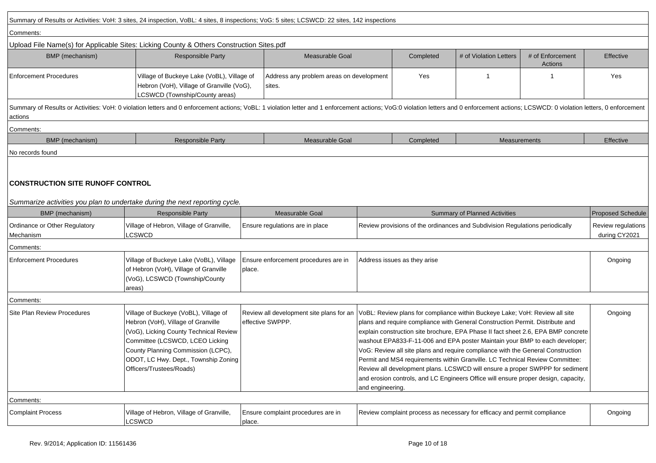|                                                                                                                        | Summary of Results or Activities: VoH: 3 sites, 24 inspection, VoBL: 4 sites, 8 inspections; VoG: 5 sites; LCSWCD: 22 sites, 142 inspections                                                                                                                       |                                                    |                                                                                                                                                                                                                                                                                                                                                                                                                                                                                                                                                                                                                                                                                                                                        |                              |                                                                          |                                     |                          |  |
|------------------------------------------------------------------------------------------------------------------------|--------------------------------------------------------------------------------------------------------------------------------------------------------------------------------------------------------------------------------------------------------------------|----------------------------------------------------|----------------------------------------------------------------------------------------------------------------------------------------------------------------------------------------------------------------------------------------------------------------------------------------------------------------------------------------------------------------------------------------------------------------------------------------------------------------------------------------------------------------------------------------------------------------------------------------------------------------------------------------------------------------------------------------------------------------------------------------|------------------------------|--------------------------------------------------------------------------|-------------------------------------|--------------------------|--|
| Comments:                                                                                                              |                                                                                                                                                                                                                                                                    |                                                    |                                                                                                                                                                                                                                                                                                                                                                                                                                                                                                                                                                                                                                                                                                                                        |                              |                                                                          |                                     |                          |  |
|                                                                                                                        | Upload File Name(s) for Applicable Sites: Licking County & Others Construction Sites.pdf                                                                                                                                                                           |                                                    |                                                                                                                                                                                                                                                                                                                                                                                                                                                                                                                                                                                                                                                                                                                                        |                              |                                                                          |                                     |                          |  |
| BMP (mechanism)                                                                                                        | <b>Responsible Party</b>                                                                                                                                                                                                                                           | Measurable Goal                                    |                                                                                                                                                                                                                                                                                                                                                                                                                                                                                                                                                                                                                                                                                                                                        | Completed                    | # of Violation Letters                                                   | # of Enforcement<br>Actions         | Effective                |  |
| <b>Enforcement Procedures</b>                                                                                          | Village of Buckeye Lake (VoBL), Village of<br>Hebron (VoH), Village of Granville (VoG),<br>LCSWCD (Township/County areas)                                                                                                                                          | Address any problem areas on development<br>sites. |                                                                                                                                                                                                                                                                                                                                                                                                                                                                                                                                                                                                                                                                                                                                        | Yes                          | -1                                                                       |                                     | Yes                      |  |
| actions                                                                                                                | Summary of Results or Activities: VoH: 0 violation letters and 0 enforcement actions; VoBL: 1 violation letter and 1 enforcement actions; VoG:0 violation letters and 0 enforcement actions; LCSWCD: 0 violation letters, 0 en                                     |                                                    |                                                                                                                                                                                                                                                                                                                                                                                                                                                                                                                                                                                                                                                                                                                                        |                              |                                                                          |                                     |                          |  |
| Comments:                                                                                                              |                                                                                                                                                                                                                                                                    |                                                    |                                                                                                                                                                                                                                                                                                                                                                                                                                                                                                                                                                                                                                                                                                                                        |                              |                                                                          |                                     |                          |  |
| BMP (mechanism)                                                                                                        | <b>Responsible Party</b>                                                                                                                                                                                                                                           | <b>Measurable Goal</b>                             |                                                                                                                                                                                                                                                                                                                                                                                                                                                                                                                                                                                                                                                                                                                                        | Completed                    | <b>Measurements</b>                                                      |                                     | Effective                |  |
| No records found                                                                                                       |                                                                                                                                                                                                                                                                    |                                                    |                                                                                                                                                                                                                                                                                                                                                                                                                                                                                                                                                                                                                                                                                                                                        |                              |                                                                          |                                     |                          |  |
| <b>CONSTRUCTION SITE RUNOFF CONTROL</b><br>Summarize activities you plan to undertake during the next reporting cycle. |                                                                                                                                                                                                                                                                    |                                                    |                                                                                                                                                                                                                                                                                                                                                                                                                                                                                                                                                                                                                                                                                                                                        |                              |                                                                          |                                     |                          |  |
| BMP (mechanism)                                                                                                        | <b>Responsible Party</b>                                                                                                                                                                                                                                           | Measurable Goal                                    | <b>Summary of Planned Activities</b>                                                                                                                                                                                                                                                                                                                                                                                                                                                                                                                                                                                                                                                                                                   |                              |                                                                          |                                     | <b>Proposed Schedule</b> |  |
| Ordinance or Other Regulatory<br>Mechanism                                                                             | Village of Hebron, Village of Granville,<br>LCSWCD                                                                                                                                                                                                                 | Ensure regulations are in place                    | Review provisions of the ordinances and Subdivision Regulations periodically                                                                                                                                                                                                                                                                                                                                                                                                                                                                                                                                                                                                                                                           |                              |                                                                          | Review regulations<br>during CY2021 |                          |  |
| Comments:                                                                                                              |                                                                                                                                                                                                                                                                    |                                                    |                                                                                                                                                                                                                                                                                                                                                                                                                                                                                                                                                                                                                                                                                                                                        |                              |                                                                          |                                     |                          |  |
| <b>Enforcement Procedures</b>                                                                                          | Village of Buckeye Lake (VoBL), Village<br>of Hebron (VoH), Village of Granville<br>(VoG), LCSWCD (Township/County<br>areas)                                                                                                                                       | Ensure enforcement procedures are in<br>place.     |                                                                                                                                                                                                                                                                                                                                                                                                                                                                                                                                                                                                                                                                                                                                        | Address issues as they arise |                                                                          |                                     |                          |  |
| Comments:                                                                                                              |                                                                                                                                                                                                                                                                    |                                                    |                                                                                                                                                                                                                                                                                                                                                                                                                                                                                                                                                                                                                                                                                                                                        |                              |                                                                          |                                     |                          |  |
| Site Plan Review Procedures                                                                                            | Village of Buckeye (VoBL), Village of<br>Hebron (VoH), Village of Granville<br>(VoG), Licking County Technical Review<br>Committee (LCSWCD, LCEO Licking<br>County Planning Commission (LCPC),<br>ODOT, LC Hwy. Dept., Township Zoning<br>Officers/Trustees/Roads) | effective SWPPP.                                   | Review all development site plans for an VoBL: Review plans for compliance within Buckeye Lake; VoH: Review all site<br>plans and require compliance with General Construction Permit. Distribute and<br>explain construction site brochure, EPA Phase II fact sheet 2.6, EPA BMP concrete<br>washout EPA833-F-11-006 and EPA poster Maintain your BMP to each developer;<br>VoG: Review all site plans and require compliance with the General Construction<br>Permit and MS4 requirements within Granville. LC Technical Review Committee:<br>Review all development plans. LCSWCD will ensure a proper SWPPP for sediment<br>and erosion controls, and LC Engineers Office will ensure proper design, capacity,<br>and engineering. |                              |                                                                          | Ongoing                             |                          |  |
| Comments:                                                                                                              |                                                                                                                                                                                                                                                                    |                                                    |                                                                                                                                                                                                                                                                                                                                                                                                                                                                                                                                                                                                                                                                                                                                        |                              |                                                                          |                                     |                          |  |
| <b>Complaint Process</b>                                                                                               | Village of Hebron, Village of Granville,<br>LCSWCD                                                                                                                                                                                                                 | Ensure complaint procedures are in<br>place.       |                                                                                                                                                                                                                                                                                                                                                                                                                                                                                                                                                                                                                                                                                                                                        |                              | Review complaint process as necessary for efficacy and permit compliance |                                     | Ongoing                  |  |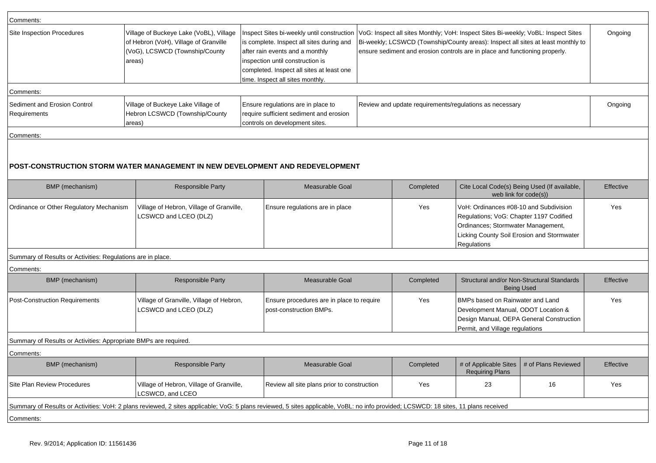| Comments:                                                        |                                                                                                                                                                                     |                                                                                                                                                                                                   |           |                                                         |                                                                                                                                                                                                                                                                                                   |           |  |
|------------------------------------------------------------------|-------------------------------------------------------------------------------------------------------------------------------------------------------------------------------------|---------------------------------------------------------------------------------------------------------------------------------------------------------------------------------------------------|-----------|---------------------------------------------------------|---------------------------------------------------------------------------------------------------------------------------------------------------------------------------------------------------------------------------------------------------------------------------------------------------|-----------|--|
| Site Inspection Procedures                                       | Village of Buckeye Lake (VoBL), Village<br>of Hebron (VoH), Village of Granville<br>(VoG), LCSWCD (Township/County<br>areas)                                                        | is complete. Inspect all sites during and<br>after rain events and a monthly<br>inspection until construction is<br>completed. Inspect all sites at least one<br>time. Inspect all sites monthly. |           |                                                         | Inspect Sites bi-weekly until construction   VoG: Inspect all sites Monthly; VoH: Inspect Sites Bi-weekly; VoBL: Inspect Sites<br>Bi-weekly; LCSWCD (Township/County areas): Inspect all sites at least monthly to<br>ensure sediment and erosion controls are in place and functioning properly. |           |  |
| Comments:                                                        |                                                                                                                                                                                     |                                                                                                                                                                                                   |           |                                                         |                                                                                                                                                                                                                                                                                                   |           |  |
| Sediment and Erosion Control<br>Requirements                     | Village of Buckeye Lake Village of<br>Hebron LCSWCD (Township/County<br>areas)                                                                                                      | Ensure regulations are in place to<br>require sufficient sediment and erosion<br>controls on development sites.                                                                                   |           | Review and update requirements/regulations as necessary |                                                                                                                                                                                                                                                                                                   |           |  |
| Comments:                                                        |                                                                                                                                                                                     |                                                                                                                                                                                                   |           |                                                         |                                                                                                                                                                                                                                                                                                   |           |  |
|                                                                  | POST-CONSTRUCTION STORM WATER MANAGEMENT IN NEW DEVELOPMENT AND REDEVELOPMENT                                                                                                       |                                                                                                                                                                                                   |           |                                                         |                                                                                                                                                                                                                                                                                                   |           |  |
| BMP (mechanism)                                                  | <b>Responsible Party</b>                                                                                                                                                            | Measurable Goal                                                                                                                                                                                   | Completed |                                                         | Cite Local Code(s) Being Used (If available,<br>web link for code(s))                                                                                                                                                                                                                             |           |  |
| Ordinance or Other Regulatory Mechanism                          | Village of Hebron, Village of Granville,<br>LCSWCD and LCEO (DLZ)                                                                                                                   | Ensure regulations are in place                                                                                                                                                                   | Yes       | Regulations                                             | VoH: Ordinances #08-10 and Subdivision<br>Regulations; VoG: Chapter 1197 Codified<br>Ordinances; Stormwater Management,<br>Licking County Soil Erosion and Stormwater                                                                                                                             |           |  |
| Summary of Results or Activities: Regulations are in place.      |                                                                                                                                                                                     |                                                                                                                                                                                                   |           |                                                         |                                                                                                                                                                                                                                                                                                   |           |  |
| Comments:                                                        |                                                                                                                                                                                     |                                                                                                                                                                                                   |           |                                                         |                                                                                                                                                                                                                                                                                                   |           |  |
| BMP (mechanism)                                                  | <b>Responsible Party</b>                                                                                                                                                            | Measurable Goal                                                                                                                                                                                   | Completed |                                                         | Structural and/or Non-Structural Standards<br><b>Being Used</b>                                                                                                                                                                                                                                   | Effective |  |
| Post-Construction Requirements                                   | Village of Granville, Village of Hebron,<br>LCSWCD and LCEO (DLZ)                                                                                                                   | Ensure procedures are in place to require<br>post-construction BMPs.                                                                                                                              |           |                                                         | BMPs based on Rainwater and Land<br>Development Manual, ODOT Location &<br>Design Manual, OEPA General Construction<br>Permit, and Village regulations                                                                                                                                            |           |  |
| Summary of Results or Activities: Appropriate BMPs are required. |                                                                                                                                                                                     |                                                                                                                                                                                                   |           |                                                         |                                                                                                                                                                                                                                                                                                   |           |  |
| Comments:                                                        |                                                                                                                                                                                     |                                                                                                                                                                                                   |           |                                                         |                                                                                                                                                                                                                                                                                                   |           |  |
| BMP (mechanism)                                                  | Responsible Party                                                                                                                                                                   | Measurable Goal                                                                                                                                                                                   | Completed | <b>Requiring Plans</b>                                  | # of Applicable Sites   # of Plans Reviewed                                                                                                                                                                                                                                                       | Effective |  |
| Site Plan Review Procedures                                      | Village of Hebron, Village of Granville,<br>LCSWCD, and LCEO                                                                                                                        | Review all site plans prior to construction                                                                                                                                                       | Yes       | 23                                                      | 16                                                                                                                                                                                                                                                                                                | Yes       |  |
|                                                                  | Summary of Results or Activities: VoH: 2 plans reviewed, 2 sites applicable; VoG: 5 plans reviewed, 5 sites applicable, VoBL: no info provided; LCSWCD: 18 sites, 11 plans received |                                                                                                                                                                                                   |           |                                                         |                                                                                                                                                                                                                                                                                                   |           |  |
| Comments:                                                        |                                                                                                                                                                                     |                                                                                                                                                                                                   |           |                                                         |                                                                                                                                                                                                                                                                                                   |           |  |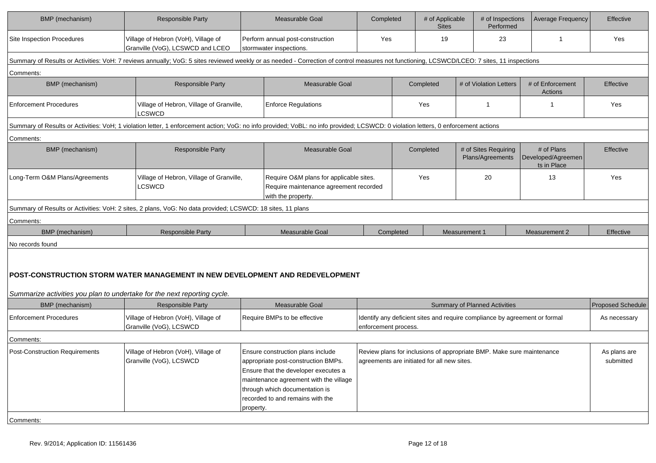| BMP (mechanism)                                                          | <b>Responsible Party</b>                                                                                                                                                                    | <b>Measurable Goal</b>                                                                                                                                                                                                                        | Completed            |           | # of Applicable<br><b>Sites</b>             | # of Inspections<br>Performed                                              | <b>Average Frequency</b>                        | Effective                 |
|--------------------------------------------------------------------------|---------------------------------------------------------------------------------------------------------------------------------------------------------------------------------------------|-----------------------------------------------------------------------------------------------------------------------------------------------------------------------------------------------------------------------------------------------|----------------------|-----------|---------------------------------------------|----------------------------------------------------------------------------|-------------------------------------------------|---------------------------|
| <b>Site Inspection Procedures</b>                                        | Village of Hebron (VoH), Village of<br>Granville (VoG), LCSWCD and LCEO                                                                                                                     | Perform annual post-construction<br>stormwater inspections.                                                                                                                                                                                   | Yes                  |           | 19                                          | 23                                                                         | $\mathbf 1$                                     | Yes                       |
|                                                                          | Summary of Results or Activities: VoH: 7 reviews annually; VoG: 5 sites reviewed weekly or as needed - Correction of control measures not functioning, LCSWCD/LCEO: 7 sites, 11 inspections |                                                                                                                                                                                                                                               |                      |           |                                             |                                                                            |                                                 |                           |
| Comments:                                                                |                                                                                                                                                                                             |                                                                                                                                                                                                                                               |                      |           |                                             |                                                                            |                                                 |                           |
| BMP (mechanism)                                                          | <b>Responsible Party</b>                                                                                                                                                                    | Measurable Goal                                                                                                                                                                                                                               |                      |           | Completed                                   | # of Violation Letters                                                     | # of Enforcement<br>Actions                     | Effective                 |
| <b>Enforcement Procedures</b>                                            | Village of Hebron, Village of Granville,<br>LCSWCD                                                                                                                                          | <b>Enforce Regulations</b>                                                                                                                                                                                                                    |                      |           | Yes                                         | $\mathbf{1}$                                                               | -1                                              | Yes                       |
|                                                                          | Summary of Results or Activities: VoH; 1 violation letter, 1 enforcement action; VoG: no info provided; VoBL: no info provided; LCSWCD: 0 violation letters, 0 enforcement actions          |                                                                                                                                                                                                                                               |                      |           |                                             |                                                                            |                                                 |                           |
| Comments:                                                                |                                                                                                                                                                                             |                                                                                                                                                                                                                                               |                      |           |                                             |                                                                            |                                                 |                           |
| BMP (mechanism)                                                          | <b>Responsible Party</b>                                                                                                                                                                    | Measurable Goal                                                                                                                                                                                                                               |                      |           | Completed                                   | # of Sites Requiring<br>Plans/Agreements                                   | # of Plans<br>Developed/Agreemen<br>ts in Place | Effective                 |
| Long-Term O&M Plans/Agreements                                           | Village of Hebron, Village of Granville,<br><b>LCSWCD</b>                                                                                                                                   | Require O&M plans for applicable sites.<br>Require maintenance agreement recorded<br>with the property.                                                                                                                                       |                      |           | Yes                                         | 20                                                                         | 13                                              | Yes                       |
|                                                                          | Summary of Results or Activities: VoH: 2 sites, 2 plans, VoG: No data provided; LCSWCD: 18 sites, 11 plans                                                                                  |                                                                                                                                                                                                                                               |                      |           |                                             |                                                                            |                                                 |                           |
| Comments:                                                                |                                                                                                                                                                                             |                                                                                                                                                                                                                                               |                      |           |                                             |                                                                            |                                                 |                           |
| BMP (mechanism)                                                          | <b>Responsible Party</b>                                                                                                                                                                    | Measurable Goal                                                                                                                                                                                                                               |                      | Completed |                                             | Measurement 1                                                              | Measurement 2                                   | Effective                 |
| No records found                                                         |                                                                                                                                                                                             |                                                                                                                                                                                                                                               |                      |           |                                             |                                                                            |                                                 |                           |
| Summarize activities you plan to undertake for the next reporting cycle. | POST-CONSTRUCTION STORM WATER MANAGEMENT IN NEW DEVELOPMENT AND REDEVELOPMENT                                                                                                               |                                                                                                                                                                                                                                               |                      |           |                                             |                                                                            |                                                 |                           |
| BMP (mechanism)                                                          | <b>Responsible Party</b>                                                                                                                                                                    | Measurable Goal                                                                                                                                                                                                                               |                      |           |                                             | <b>Summary of Planned Activities</b>                                       |                                                 | <b>Proposed Schedule</b>  |
| <b>Enforcement Procedures</b>                                            | Village of Hebron (VoH), Village of<br>Granville (VoG), LCSWCD                                                                                                                              | Require BMPs to be effective                                                                                                                                                                                                                  | enforcement process. |           |                                             | Identify any deficient sites and require compliance by agreement or formal |                                                 | As necessary              |
| Comments:                                                                |                                                                                                                                                                                             |                                                                                                                                                                                                                                               |                      |           |                                             |                                                                            |                                                 |                           |
| <b>Post-Construction Requirements</b>                                    | Village of Hebron (VoH), Village of<br>Granville (VoG), LCSWCD                                                                                                                              | Ensure construction plans include<br>appropriate post-construction BMPs.<br>Ensure that the developer executes a<br>maintenance agreement with the village<br>through which documentation is<br>recorded to and remains with the<br>property. |                      |           | agreements are initiated for all new sites. | Review plans for inclusions of appropriate BMP. Make sure maintenance      |                                                 | As plans are<br>submitted |
| Comments:                                                                |                                                                                                                                                                                             |                                                                                                                                                                                                                                               |                      |           |                                             |                                                                            |                                                 |                           |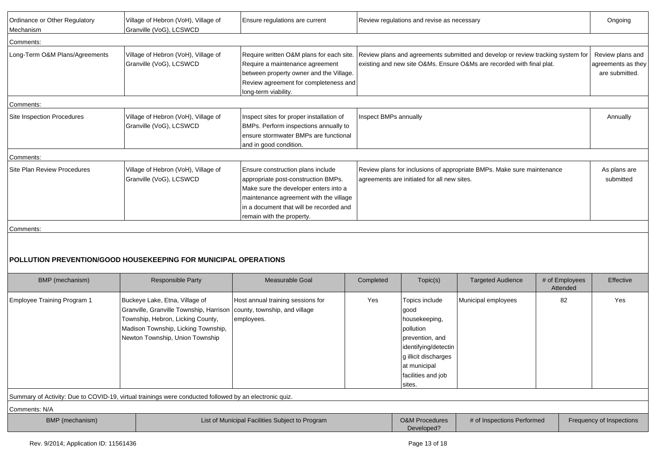| Ordinance or Other Regulatory<br>Mechanism | Village of Hebron (VoH), Village of<br>Granville (VoG), LCSWCD                                                                                                                           | Ensure regulations are current                                                                                                                                                                                                      |                                                                                                                                                                                                   | Review regulations and revise as necessary                                                                                                                              |                            |                            |                                                          |
|--------------------------------------------|------------------------------------------------------------------------------------------------------------------------------------------------------------------------------------------|-------------------------------------------------------------------------------------------------------------------------------------------------------------------------------------------------------------------------------------|---------------------------------------------------------------------------------------------------------------------------------------------------------------------------------------------------|-------------------------------------------------------------------------------------------------------------------------------------------------------------------------|----------------------------|----------------------------|----------------------------------------------------------|
| Comments:                                  |                                                                                                                                                                                          |                                                                                                                                                                                                                                     |                                                                                                                                                                                                   |                                                                                                                                                                         |                            |                            |                                                          |
| Long-Term O&M Plans/Agreements             | Village of Hebron (VoH), Village of<br>Granville (VoG), LCSWCD                                                                                                                           | Require a maintenance agreement<br>between property owner and the Village.<br>Review agreement for completeness and<br>long-term viability.                                                                                         | Require written O&M plans for each site. Review plans and agreements submitted and develop or review tracking system for<br>existing and new site O&Ms. Ensure O&Ms are recorded with final plat. |                                                                                                                                                                         |                            |                            | Review plans and<br>agreements as they<br>are submitted. |
| Comments:                                  |                                                                                                                                                                                          |                                                                                                                                                                                                                                     |                                                                                                                                                                                                   |                                                                                                                                                                         |                            |                            |                                                          |
| <b>Site Inspection Procedures</b>          | Village of Hebron (VoH), Village of<br>Granville (VoG), LCSWCD                                                                                                                           | Inspect sites for proper installation of<br>BMPs. Perform inspections annually to<br>ensure stormwater BMPs are functional<br>and in good condition.                                                                                | Inspect BMPs annually                                                                                                                                                                             |                                                                                                                                                                         |                            |                            | Annually                                                 |
| Comments:                                  |                                                                                                                                                                                          |                                                                                                                                                                                                                                     |                                                                                                                                                                                                   |                                                                                                                                                                         |                            |                            |                                                          |
| Site Plan Review Procedures                | Village of Hebron (VoH), Village of<br>Granville (VoG), LCSWCD                                                                                                                           | Ensure construction plans include<br>appropriate post-construction BMPs.<br>Make sure the developer enters into a<br>maintenance agreement with the village<br>in a document that will be recorded and<br>remain with the property. | Review plans for inclusions of appropriate BMPs. Make sure maintenance<br>agreements are initiated for all new sites.                                                                             |                                                                                                                                                                         |                            |                            | As plans are<br>submitted                                |
| Comments:                                  |                                                                                                                                                                                          |                                                                                                                                                                                                                                     |                                                                                                                                                                                                   |                                                                                                                                                                         |                            |                            |                                                          |
|                                            | POLLUTION PREVENTION/GOOD HOUSEKEEPING FOR MUNICIPAL OPERATIONS                                                                                                                          |                                                                                                                                                                                                                                     |                                                                                                                                                                                                   |                                                                                                                                                                         |                            |                            |                                                          |
| BMP (mechanism)                            | <b>Responsible Party</b>                                                                                                                                                                 | Measurable Goal                                                                                                                                                                                                                     | Completed                                                                                                                                                                                         | Topic(s)                                                                                                                                                                | <b>Targeted Audience</b>   | # of Employees<br>Attended | Effective                                                |
| Employee Training Program 1                | Buckeye Lake, Etna, Village of<br>Granville, Granville Township, Harrison<br>Township, Hebron, Licking County,<br>Madison Township, Licking Township,<br>Newton Township, Union Township | Host annual training sessions for<br>county, township, and village<br>employees.                                                                                                                                                    | Yes                                                                                                                                                                                               | Topics include<br>good<br>housekeeping,<br>pollution<br>prevention, and<br>identifying/detectin<br>g illicit discharges<br>at municipal<br>facilities and job<br>sites. | Municipal employees        | 82                         | Yes                                                      |
|                                            | Summary of Activity: Due to COVID-19, virtual trainings were conducted followed by an electronic quiz.                                                                                   |                                                                                                                                                                                                                                     |                                                                                                                                                                                                   |                                                                                                                                                                         |                            |                            |                                                          |
| Comments: N/A                              |                                                                                                                                                                                          |                                                                                                                                                                                                                                     |                                                                                                                                                                                                   |                                                                                                                                                                         |                            |                            |                                                          |
| BMP (mechanism)                            |                                                                                                                                                                                          | List of Municipal Facilities Subject to Program                                                                                                                                                                                     |                                                                                                                                                                                                   | <b>O&amp;M Procedures</b><br>Developed?                                                                                                                                 | # of Inspections Performed |                            | Frequency of Inspections                                 |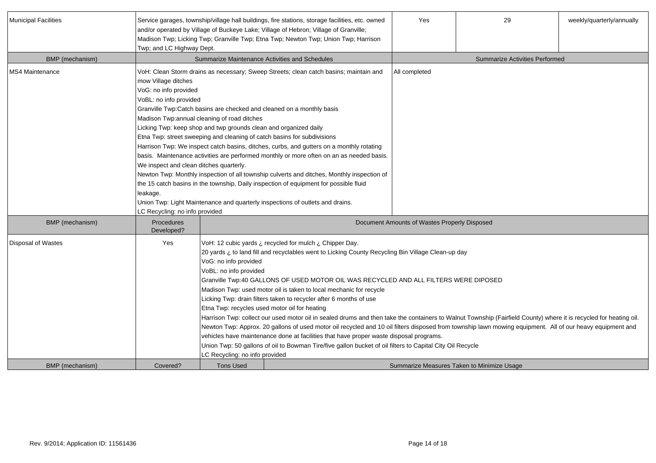| Municipal Facilities | Twp; and LC Highway Dept.                                                                                                                                       |                                                                                                                                                                                                                                                                                                                                                                                                                                                                                                                                                                                                                                                                                                                                                                                                                                                                                                                                                                                                                                                                                 | Service garages, township/village hall buildings, fire stations, storage facilities, etc. owned<br>and/or operated by Village of Buckeye Lake; Village of Hebron; Village of Granville;<br>Madison Twp; Licking Twp; Granville Twp; Etna Twp; Newton Twp; Union Twp; Harrison | Yes                                          | 29                                         | weekly/quarterly/annually |  |
|----------------------|-----------------------------------------------------------------------------------------------------------------------------------------------------------------|---------------------------------------------------------------------------------------------------------------------------------------------------------------------------------------------------------------------------------------------------------------------------------------------------------------------------------------------------------------------------------------------------------------------------------------------------------------------------------------------------------------------------------------------------------------------------------------------------------------------------------------------------------------------------------------------------------------------------------------------------------------------------------------------------------------------------------------------------------------------------------------------------------------------------------------------------------------------------------------------------------------------------------------------------------------------------------|-------------------------------------------------------------------------------------------------------------------------------------------------------------------------------------------------------------------------------------------------------------------------------|----------------------------------------------|--------------------------------------------|---------------------------|--|
| BMP (mechanism)      |                                                                                                                                                                 |                                                                                                                                                                                                                                                                                                                                                                                                                                                                                                                                                                                                                                                                                                                                                                                                                                                                                                                                                                                                                                                                                 | Summarize Maintenance Activities and Schedules                                                                                                                                                                                                                                |                                              | <b>Summarize Activities Performed</b>      |                           |  |
| MS4 Maintenance      | mow Village ditches<br>VoG: no info provided<br>VoBL: no info provided<br>We inspect and clean ditches quarterly.<br>leakage.<br>LC Recycling: no info provided | VoH: Clean Storm drains as necessary; Sweep Streets; clean catch basins; maintain and<br>All completed<br>Granville Twp:Catch basins are checked and cleaned on a monthly basis<br>Madison Twp:annual cleaning of road ditches<br>Licking Twp: keep shop and twp grounds clean and organized daily<br>Etna Twp: street sweeping and cleaning of catch basins for subdivisions<br>Harrison Twp: We inspect catch basins, ditches, curbs, and gutters on a monthly rotating<br>basis. Maintenance activities are performed monthly or more often on an as needed basis.<br>Newton Twp: Monthly inspection of all township culverts and ditches, Monthly inspection of<br>the 15 catch basins in the township, Daily inspection of equipment for possible fluid<br>Union Twp: Light Maintenance and quarterly inspections of outlets and drains.                                                                                                                                                                                                                                   |                                                                                                                                                                                                                                                                               |                                              |                                            |                           |  |
| BMP (mechanism)      | Procedures<br>Developed?                                                                                                                                        |                                                                                                                                                                                                                                                                                                                                                                                                                                                                                                                                                                                                                                                                                                                                                                                                                                                                                                                                                                                                                                                                                 |                                                                                                                                                                                                                                                                               | Document Amounts of Wastes Properly Disposed |                                            |                           |  |
| Disposal of Wastes   | Yes                                                                                                                                                             | VoH: 12 cubic yards ¿ recycled for mulch ¿ Chipper Day.<br>20 yards ¿ to land fill and recyclables went to Licking County Recycling Bin Village Clean-up day<br>VoG: no info provided<br>VoBL: no info provided<br>Granville Twp:40 GALLONS OF USED MOTOR OIL WAS RECYCLED AND ALL FILTERS WERE DIPOSED<br>Madison Twp: used motor oil is taken to local mechanic for recycle<br>Licking Twp: drain filters taken to recycler after 6 months of use<br>Etna Twp: recycles used motor oil for heating<br>Harrison Twp: collect our used motor oil in sealed drums and then take the containers to Walnut Township (Fairfield County) where it is recycled for heating oil.<br>Newton Twp: Approx. 20 gallons of used motor oil recycled and 10 oil filters disposed from township lawn mowing equipment. All of our heavy equipment and<br>vehicles have maintenance done at facilities that have proper waste disposal programs.<br>Union Twp: 50 gallons of oil to Bowman Tire/five gallon bucket of oil filters to Capital City Oil Recycle<br>LC Recycling: no info provided |                                                                                                                                                                                                                                                                               |                                              |                                            |                           |  |
| BMP (mechanism)      | Covered?                                                                                                                                                        | <b>Tons Used</b>                                                                                                                                                                                                                                                                                                                                                                                                                                                                                                                                                                                                                                                                                                                                                                                                                                                                                                                                                                                                                                                                |                                                                                                                                                                                                                                                                               |                                              | Summarize Measures Taken to Minimize Usage |                           |  |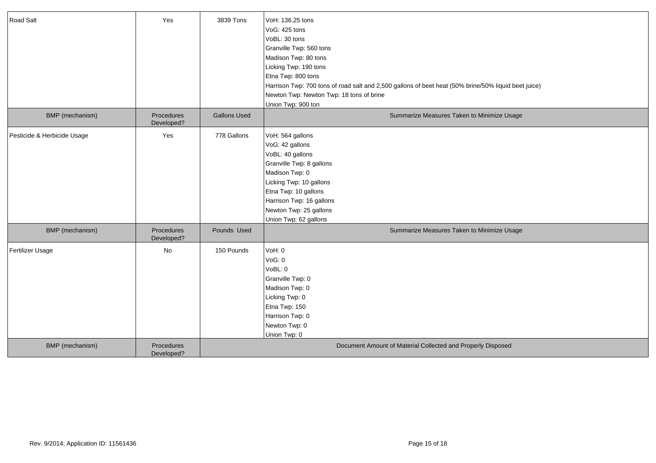| Road Salt                   | Yes                      | 3839 Tons           | VoH: 136.25 tons<br>VoG: 425 tons<br>VoBL: 30 tons<br>Granville Twp: 560 tons<br>Madison Twp: 80 tons<br>Licking Twp: 190 tons<br>Etna Twp: 800 tons<br>Harrison Twp: 700 tons of road salt and 2,500 gallons of beet heat (50% brine/50% liquid beet juice)<br>Newton Twp: Newton Twp: 18 tons of brine<br>Union Twp: 900 ton |
|-----------------------------|--------------------------|---------------------|--------------------------------------------------------------------------------------------------------------------------------------------------------------------------------------------------------------------------------------------------------------------------------------------------------------------------------|
| BMP (mechanism)             | Procedures<br>Developed? | <b>Gallons Used</b> | Summarize Measures Taken to Minimize Usage                                                                                                                                                                                                                                                                                     |
| Pesticide & Herbicide Usage | Yes                      | 778 Gallons         | VoH: 564 gallons<br>VoG: 42 gallons<br>VoBL: 40 gallons<br>Granville Twp: 8 gallons<br>Madison Twp: 0<br>Licking Twp: 10 gallons<br>Etna Twp: 10 gallons<br>Harrison Twp: 16 gallons<br>Newton Twp: 25 gallons<br>Union Twp: 62 gallons                                                                                        |
| BMP (mechanism)             | Procedures<br>Developed? | Pounds Used         | Summarize Measures Taken to Minimize Usage                                                                                                                                                                                                                                                                                     |
| Fertilizer Usage            | No                       | 150 Pounds          | VoH: 0<br>VoG: 0<br>VoBL: 0<br>Granville Twp: 0<br>Madison Twp: 0<br>Licking Twp: 0<br>Etna Twp: 150<br>Harrison Twp: 0<br>Newton Twp: 0<br>Union Twp: 0                                                                                                                                                                       |
| BMP (mechanism)             | Procedures<br>Developed? |                     | Document Amount of Material Collected and Properly Disposed                                                                                                                                                                                                                                                                    |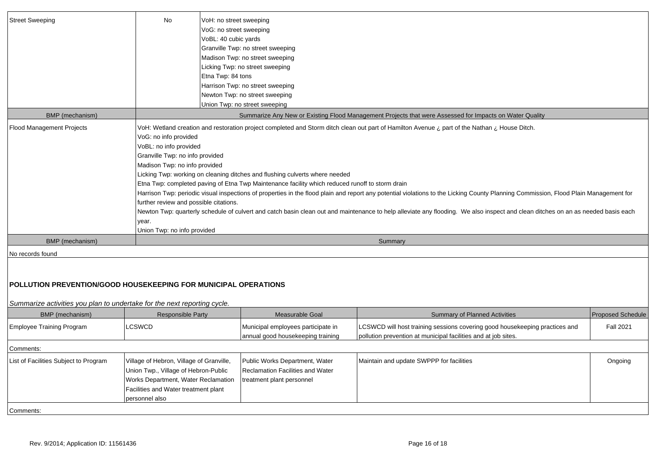| <b>Street Sweeping</b>           | <b>No</b>                                                                                                                                                                            | VoH: no street sweeping                                                                                 |  |  |  |  |  |
|----------------------------------|--------------------------------------------------------------------------------------------------------------------------------------------------------------------------------------|---------------------------------------------------------------------------------------------------------|--|--|--|--|--|
|                                  |                                                                                                                                                                                      |                                                                                                         |  |  |  |  |  |
|                                  |                                                                                                                                                                                      | VoG: no street sweeping                                                                                 |  |  |  |  |  |
|                                  |                                                                                                                                                                                      | VoBL: 40 cubic yards                                                                                    |  |  |  |  |  |
|                                  |                                                                                                                                                                                      | Granville Twp: no street sweeping                                                                       |  |  |  |  |  |
|                                  |                                                                                                                                                                                      | Madison Twp: no street sweeping                                                                         |  |  |  |  |  |
|                                  |                                                                                                                                                                                      | Licking Twp: no street sweeping                                                                         |  |  |  |  |  |
|                                  |                                                                                                                                                                                      | Etna Twp: 84 tons                                                                                       |  |  |  |  |  |
|                                  |                                                                                                                                                                                      | Harrison Twp: no street sweeping                                                                        |  |  |  |  |  |
|                                  |                                                                                                                                                                                      | Newton Twp: no street sweeping                                                                          |  |  |  |  |  |
|                                  |                                                                                                                                                                                      | Union Twp: no street sweeping                                                                           |  |  |  |  |  |
| BMP (mechanism)                  |                                                                                                                                                                                      | Summarize Any New or Existing Flood Management Projects that were Assessed for Impacts on Water Quality |  |  |  |  |  |
| <b>Flood Management Projects</b> | VoH: Wetland creation and restoration project completed and Storm ditch clean out part of Hamilton Avenue ¿ part of the Nathan ¿ House Ditch.                                        |                                                                                                         |  |  |  |  |  |
|                                  | VoG: no info provided                                                                                                                                                                |                                                                                                         |  |  |  |  |  |
|                                  | VoBL: no info provided                                                                                                                                                               |                                                                                                         |  |  |  |  |  |
|                                  | Granville Twp: no info provided                                                                                                                                                      |                                                                                                         |  |  |  |  |  |
|                                  | Madison Twp: no info provided                                                                                                                                                        |                                                                                                         |  |  |  |  |  |
|                                  | Licking Twp: working on cleaning ditches and flushing culverts where needed                                                                                                          |                                                                                                         |  |  |  |  |  |
|                                  | Etna Twp: completed paving of Etna Twp Maintenance facility which reduced runoff to storm drain                                                                                      |                                                                                                         |  |  |  |  |  |
|                                  | Harrison Twp: periodic visual inspections of properties in the flood plain and report any potential violations to the Licking County Planning Commission, Flood Plain Management for |                                                                                                         |  |  |  |  |  |
|                                  | further review and possible citations.                                                                                                                                               |                                                                                                         |  |  |  |  |  |
|                                  | Newton Twp: quarterly schedule of culvert and catch basin clean out and maintenance to help alleviate any flooding. We also inspect and clean ditches on an as needed basis each     |                                                                                                         |  |  |  |  |  |
|                                  | vear.                                                                                                                                                                                |                                                                                                         |  |  |  |  |  |
|                                  | Union Twp: no info provided                                                                                                                                                          |                                                                                                         |  |  |  |  |  |
| BMP (mechanism)                  |                                                                                                                                                                                      | Summary                                                                                                 |  |  |  |  |  |
|                                  |                                                                                                                                                                                      |                                                                                                         |  |  |  |  |  |
| No records found                 |                                                                                                                                                                                      |                                                                                                         |  |  |  |  |  |
|                                  |                                                                                                                                                                                      |                                                                                                         |  |  |  |  |  |

# **POLLUTION PREVENTION/GOOD HOUSEKEEPING FOR MUNICIPAL OPERATIONS**

Summarize activities you plan to undertake for the next reporting cycle.

| BMP (mechanism)                       | <b>Responsible Party</b>                   | Measurable Goal                    | <b>Summary of Planned Activities</b>                                        | <b>Proposed Schedule</b> |
|---------------------------------------|--------------------------------------------|------------------------------------|-----------------------------------------------------------------------------|--------------------------|
| Employee Training Program             | <b>LCSWCD</b>                              | Municipal employees participate in | LCSWCD will host training sessions covering good housekeeping practices and | <b>Fall 2021</b>         |
|                                       |                                            | annual good housekeeping training  | pollution prevention at municipal facilities and at job sites.              |                          |
| Comments:                             |                                            |                                    |                                                                             |                          |
| List of Facilities Subject to Program | Village of Hebron, Village of Granville,   | Public Works Department, Water     | Maintain and update SWPPP for facilities                                    | Ongoing                  |
|                                       | Union Twp., Village of Hebron-Public       | Reclamation Facilities and Water   |                                                                             |                          |
|                                       | <b>Works Department, Water Reclamation</b> | treatment plant personnel          |                                                                             |                          |
|                                       | Facilities and Water treatment plant       |                                    |                                                                             |                          |
|                                       | personnel also                             |                                    |                                                                             |                          |
| Comments:                             |                                            |                                    |                                                                             |                          |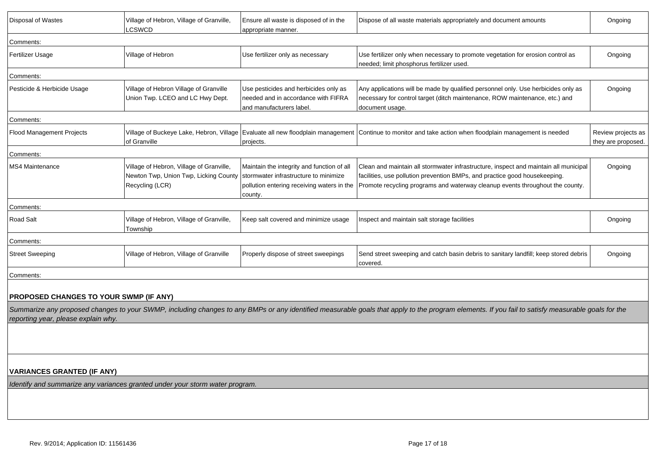| Disposal of Wastes                                                           | Village of Hebron, Village of Granville,<br>LCSWCD                                                   | Ensure all waste is disposed of in the<br>appropriate manner.                                                                                | Dispose of all waste materials appropriately and document amounts                                                                                                                                                                                   | Ongoing                                  |
|------------------------------------------------------------------------------|------------------------------------------------------------------------------------------------------|----------------------------------------------------------------------------------------------------------------------------------------------|-----------------------------------------------------------------------------------------------------------------------------------------------------------------------------------------------------------------------------------------------------|------------------------------------------|
| Comments:                                                                    |                                                                                                      |                                                                                                                                              |                                                                                                                                                                                                                                                     |                                          |
| Fertilizer Usage                                                             | Village of Hebron                                                                                    | Use fertilizer only as necessary                                                                                                             | Use fertilizer only when necessary to promote vegetation for erosion control as<br>needed; limit phosphorus fertilizer used.                                                                                                                        | Ongoing                                  |
| Comments:                                                                    |                                                                                                      |                                                                                                                                              |                                                                                                                                                                                                                                                     |                                          |
| Pesticide & Herbicide Usage                                                  | Village of Hebron Village of Granville<br>Union Twp. LCEO and LC Hwy Dept.                           | Use pesticides and herbicides only as<br>needed and in accordance with FIFRA<br>and manufacturers label.                                     | Any applications will be made by qualified personnel only. Use herbicides only as<br>necessary for control target (ditch maintenance, ROW maintenance, etc.) and<br>document usage.                                                                 | Ongoing                                  |
| Comments:                                                                    |                                                                                                      |                                                                                                                                              |                                                                                                                                                                                                                                                     |                                          |
| <b>Flood Management Projects</b>                                             | of Granville                                                                                         | projects.                                                                                                                                    | Village of Buckeye Lake, Hebron, Village Evaluate all new floodplain management Continue to monitor and take action when floodplain management is needed                                                                                            | Review projects as<br>they are proposed. |
| Comments:                                                                    |                                                                                                      |                                                                                                                                              |                                                                                                                                                                                                                                                     |                                          |
| <b>MS4 Maintenance</b>                                                       | Village of Hebron, Village of Granville,<br>Newton Twp, Union Twp, Licking County<br>Recycling (LCR) | Maintain the integrity and function of all<br>stormwater infrastructure to minimize<br>pollution entering receiving waters in the<br>county. | Clean and maintain all stormwater infrastructure, inspect and maintain all municipal<br>facilities, use pollution prevention BMPs, and practice good housekeeping.<br>Promote recycling programs and waterway cleanup events throughout the county. | Ongoing                                  |
| Comments:                                                                    |                                                                                                      |                                                                                                                                              |                                                                                                                                                                                                                                                     |                                          |
| <b>Road Salt</b>                                                             | Village of Hebron, Village of Granville,<br>Township                                                 | Keep salt covered and minimize usage                                                                                                         | Inspect and maintain salt storage facilities                                                                                                                                                                                                        | Ongoing                                  |
| Comments:                                                                    |                                                                                                      |                                                                                                                                              |                                                                                                                                                                                                                                                     |                                          |
| <b>Street Sweeping</b>                                                       | Village of Hebron, Village of Granville                                                              | Properly dispose of street sweepings                                                                                                         | Send street sweeping and catch basin debris to sanitary landfill; keep stored debris<br>covered.                                                                                                                                                    | Ongoing                                  |
| Comments:                                                                    |                                                                                                      |                                                                                                                                              |                                                                                                                                                                                                                                                     |                                          |
| <b>PROPOSED CHANGES TO YOUR SWMP (IF ANY)</b>                                |                                                                                                      |                                                                                                                                              |                                                                                                                                                                                                                                                     |                                          |
| reporting year, please explain why.                                          |                                                                                                      |                                                                                                                                              | Summarize any proposed changes to your SWMP, including changes to any BMPs or any identified measurable goals that apply to the program elements. If you fail to satisfy measurable goals for the                                                   |                                          |
|                                                                              |                                                                                                      |                                                                                                                                              |                                                                                                                                                                                                                                                     |                                          |
| <b>VARIANCES GRANTED (IF ANY)</b>                                            |                                                                                                      |                                                                                                                                              |                                                                                                                                                                                                                                                     |                                          |
| Identify and summarize any variances granted under your storm water program. |                                                                                                      |                                                                                                                                              |                                                                                                                                                                                                                                                     |                                          |
|                                                                              |                                                                                                      |                                                                                                                                              |                                                                                                                                                                                                                                                     |                                          |